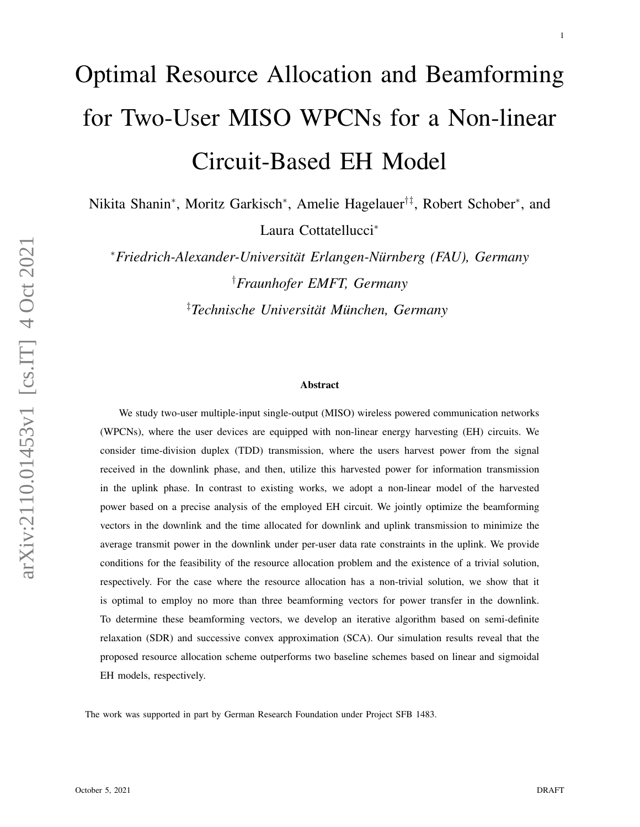# Optimal Resource Allocation and Beamforming for Two-User MISO WPCNs for a Non-linear Circuit-Based EH Model

Nikita Shanin<sup>∗</sup> , Moritz Garkisch<sup>∗</sup> , Amelie Hagelauer†‡, Robert Schober<sup>∗</sup> , and

Laura Cottatellucci<sup>∗</sup>

<sup>∗</sup>*Friedrich-Alexander-Universitat Erlangen-N ¨ urnberg (FAU), Germany ¨* †*Fraunhofer EMFT, Germany* <sup>‡</sup> Technische Universität München, Germany

#### Abstract

We study two-user multiple-input single-output (MISO) wireless powered communication networks (WPCNs), where the user devices are equipped with non-linear energy harvesting (EH) circuits. We consider time-division duplex (TDD) transmission, where the users harvest power from the signal received in the downlink phase, and then, utilize this harvested power for information transmission in the uplink phase. In contrast to existing works, we adopt a non-linear model of the harvested power based on a precise analysis of the employed EH circuit. We jointly optimize the beamforming vectors in the downlink and the time allocated for downlink and uplink transmission to minimize the average transmit power in the downlink under per-user data rate constraints in the uplink. We provide conditions for the feasibility of the resource allocation problem and the existence of a trivial solution, respectively. For the case where the resource allocation has a non-trivial solution, we show that it is optimal to employ no more than three beamforming vectors for power transfer in the downlink. To determine these beamforming vectors, we develop an iterative algorithm based on semi-definite relaxation (SDR) and successive convex approximation (SCA). Our simulation results reveal that the proposed resource allocation scheme outperforms two baseline schemes based on linear and sigmoidal EH models, respectively.

The work was supported in part by German Research Foundation under Project SFB 1483.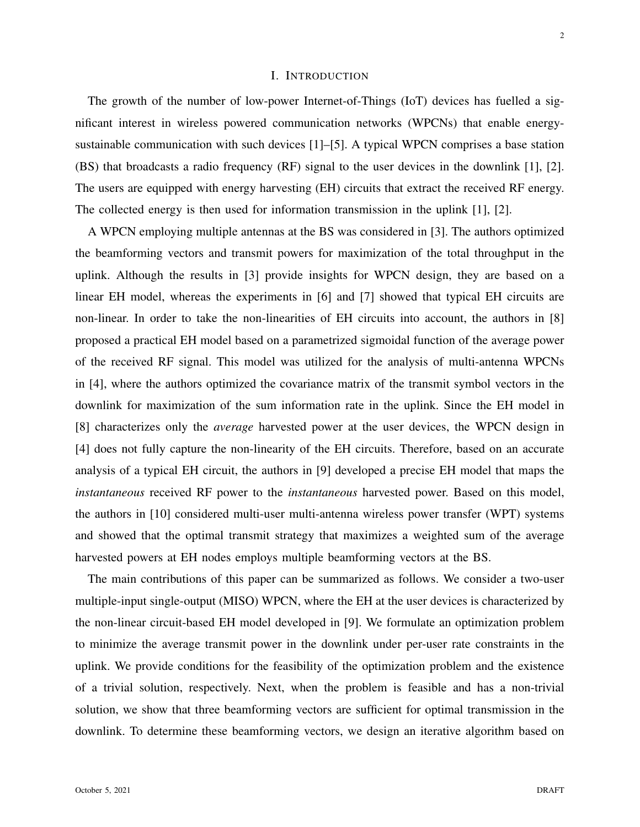# I. INTRODUCTION

The growth of the number of low-power Internet-of-Things (IoT) devices has fuelled a significant interest in wireless powered communication networks (WPCNs) that enable energysustainable communication with such devices [1]–[5]. A typical WPCN comprises a base station (BS) that broadcasts a radio frequency (RF) signal to the user devices in the downlink [1], [2]. The users are equipped with energy harvesting (EH) circuits that extract the received RF energy. The collected energy is then used for information transmission in the uplink [1], [2].

A WPCN employing multiple antennas at the BS was considered in [3]. The authors optimized the beamforming vectors and transmit powers for maximization of the total throughput in the uplink. Although the results in [3] provide insights for WPCN design, they are based on a linear EH model, whereas the experiments in [6] and [7] showed that typical EH circuits are non-linear. In order to take the non-linearities of EH circuits into account, the authors in [8] proposed a practical EH model based on a parametrized sigmoidal function of the average power of the received RF signal. This model was utilized for the analysis of multi-antenna WPCNs in [4], where the authors optimized the covariance matrix of the transmit symbol vectors in the downlink for maximization of the sum information rate in the uplink. Since the EH model in [8] characterizes only the *average* harvested power at the user devices, the WPCN design in [4] does not fully capture the non-linearity of the EH circuits. Therefore, based on an accurate analysis of a typical EH circuit, the authors in [9] developed a precise EH model that maps the *instantaneous* received RF power to the *instantaneous* harvested power. Based on this model, the authors in [10] considered multi-user multi-antenna wireless power transfer (WPT) systems and showed that the optimal transmit strategy that maximizes a weighted sum of the average harvested powers at EH nodes employs multiple beamforming vectors at the BS.

The main contributions of this paper can be summarized as follows. We consider a two-user multiple-input single-output (MISO) WPCN, where the EH at the user devices is characterized by the non-linear circuit-based EH model developed in [9]. We formulate an optimization problem to minimize the average transmit power in the downlink under per-user rate constraints in the uplink. We provide conditions for the feasibility of the optimization problem and the existence of a trivial solution, respectively. Next, when the problem is feasible and has a non-trivial solution, we show that three beamforming vectors are sufficient for optimal transmission in the downlink. To determine these beamforming vectors, we design an iterative algorithm based on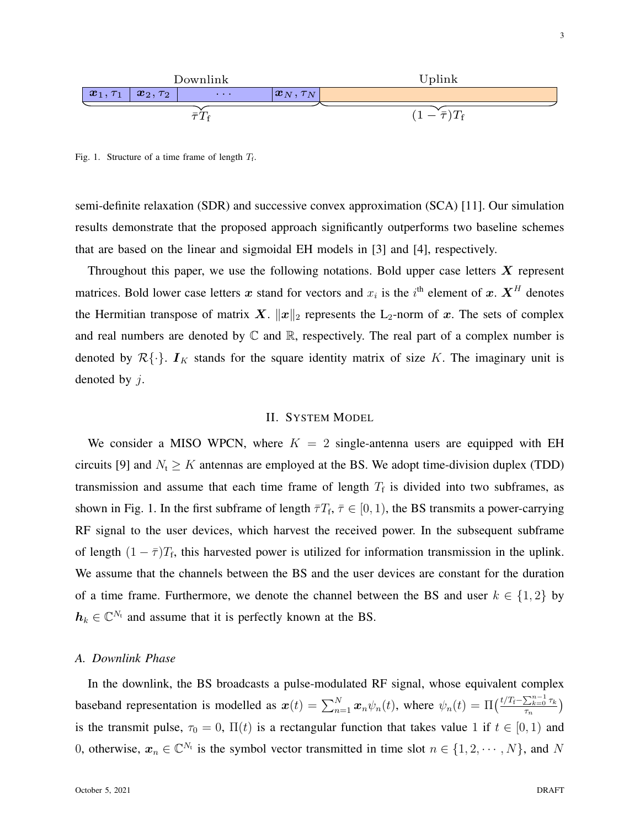

Fig. 1. Structure of a time frame of length  $T_f$ .

semi-definite relaxation (SDR) and successive convex approximation (SCA) [11]. Our simulation results demonstrate that the proposed approach significantly outperforms two baseline schemes that are based on the linear and sigmoidal EH models in [3] and [4], respectively.

Throughout this paper, we use the following notations. Bold upper case letters  $X$  represent matrices. Bold lower case letters x stand for vectors and  $x_i$  is the i<sup>th</sup> element of x.  $\boldsymbol{X}^H$  denotes the Hermitian transpose of matrix X.  $||x||_2$  represents the L<sub>2</sub>-norm of x. The sets of complex and real numbers are denoted by  $\mathbb C$  and  $\mathbb R$ , respectively. The real part of a complex number is denoted by  $\mathcal{R}\{\cdot\}$ .  $I_K$  stands for the square identity matrix of size K. The imaginary unit is denoted by j.

#### II. SYSTEM MODEL

We consider a MISO WPCN, where  $K = 2$  single-antenna users are equipped with EH circuits [9] and  $N_t \ge K$  antennas are employed at the BS. We adopt time-division duplex (TDD) transmission and assume that each time frame of length  $T_f$  is divided into two subframes, as shown in Fig. 1. In the first subframe of length  $\bar{\tau}T_f$ ,  $\bar{\tau} \in [0,1)$ , the BS transmits a power-carrying RF signal to the user devices, which harvest the received power. In the subsequent subframe of length  $(1 - \overline{\tau})T_f$ , this harvested power is utilized for information transmission in the uplink. We assume that the channels between the BS and the user devices are constant for the duration of a time frame. Furthermore, we denote the channel between the BS and user  $k \in \{1,2\}$  by  $h_k \in \mathbb{C}^{N_t}$  and assume that it is perfectly known at the BS.

### *A. Downlink Phase*

In the downlink, the BS broadcasts a pulse-modulated RF signal, whose equivalent complex baseband representation is modelled as  $x(t) = \sum_{n=1}^{N} x_n \psi_n(t)$ , where  $\psi_n(t) = \prod_{n=1}^{\infty} \frac{t}{T_n} \frac{\sum_{k=0}^{n-1} \tau_k}{\tau_n}$  $\frac{\sum_{k=0} \tau_k}{\tau_n}$ is the transmit pulse,  $\tau_0 = 0$ ,  $\Pi(t)$  is a rectangular function that takes value 1 if  $t \in [0, 1)$  and 0, otherwise,  $x_n \in \mathbb{C}^{N_t}$  is the symbol vector transmitted in time slot  $n \in \{1, 2, \cdots, N\}$ , and N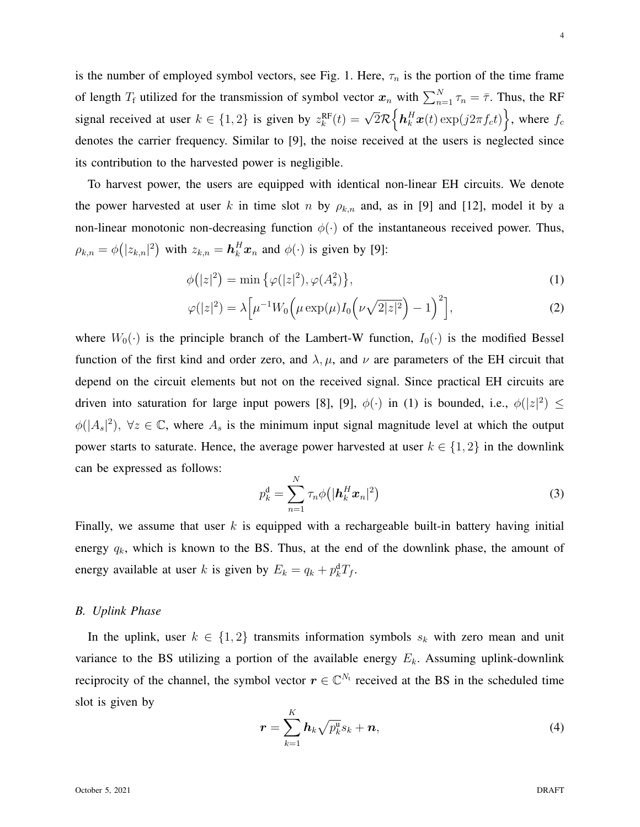is the number of employed symbol vectors, see Fig. 1. Here,  $\tau_n$  is the portion of the time frame of length  $T_f$  utilized for the transmission of symbol vector  $x_n$  with  $\sum_{n=1}^{N} \tau_n = \overline{\tau}$ . Thus, the RF signal received at user  $k \in \{1,2\}$  is given by  $z_k^{\text{RF}}(t) = \sqrt{2\mathcal{R}} \Big\{ \mathbf{h}_k^H \mathbf{x}(t) \exp(j2\pi f_c t) \Big\}$ , where  $f_c$ denotes the carrier frequency. Similar to [9], the noise received at the users is neglected since its contribution to the harvested power is negligible.

To harvest power, the users are equipped with identical non-linear EH circuits. We denote the power harvested at user k in time slot n by  $\rho_{k,n}$  and, as in [9] and [12], model it by a non-linear monotonic non-decreasing function  $\phi(\cdot)$  of the instantaneous received power. Thus,  $\rho_{k,n} = \phi(|z_{k,n}|^2)$  with  $z_{k,n} = \mathbf{h}_k^H \mathbf{x}_n$  and  $\phi(\cdot)$  is given by [9]:

$$
\phi(|z|^2) = \min{\left\{\varphi(|z|^2), \varphi(A_s^2)\right\}},\tag{1}
$$

$$
\varphi(|z|^2) = \lambda \Big[ \mu^{-1} W_0 \Big( \mu \exp(\mu) I_0 \Big( \nu \sqrt{2|z|^2} \Big) - 1 \Big)^2 \Big], \tag{2}
$$

where  $W_0(\cdot)$  is the principle branch of the Lambert-W function,  $I_0(\cdot)$  is the modified Bessel function of the first kind and order zero, and  $\lambda, \mu$ , and  $\nu$  are parameters of the EH circuit that depend on the circuit elements but not on the received signal. Since practical EH circuits are driven into saturation for large input powers [8], [9],  $\phi(\cdot)$  in (1) is bounded, i.e.,  $\phi(|z|^2) \leq$  $\phi(|A_s|^2)$ ,  $\forall z \in \mathbb{C}$ , where  $A_s$  is the minimum input signal magnitude level at which the output power starts to saturate. Hence, the average power harvested at user  $k \in \{1,2\}$  in the downlink can be expressed as follows:

$$
p_k^d = \sum_{n=1}^N \tau_n \phi\big(|\boldsymbol{h}_k^H \boldsymbol{x}_n|^2\big) \tag{3}
$$

Finally, we assume that user  $k$  is equipped with a rechargeable built-in battery having initial energy  $q_k$ , which is known to the BS. Thus, at the end of the downlink phase, the amount of energy available at user k is given by  $E_k = q_k + p_k^d T_f$ .

#### *B. Uplink Phase*

In the uplink, user  $k \in \{1,2\}$  transmits information symbols  $s_k$  with zero mean and unit variance to the BS utilizing a portion of the available energy  $E_k$ . Assuming uplink-downlink reciprocity of the channel, the symbol vector  $r \in \mathbb{C}^{N_t}$  received at the BS in the scheduled time slot is given by

$$
\boldsymbol{r} = \sum_{k=1}^{K} \boldsymbol{h}_k \sqrt{p_k^{\mathrm{u}}} s_k + \boldsymbol{n}, \tag{4}
$$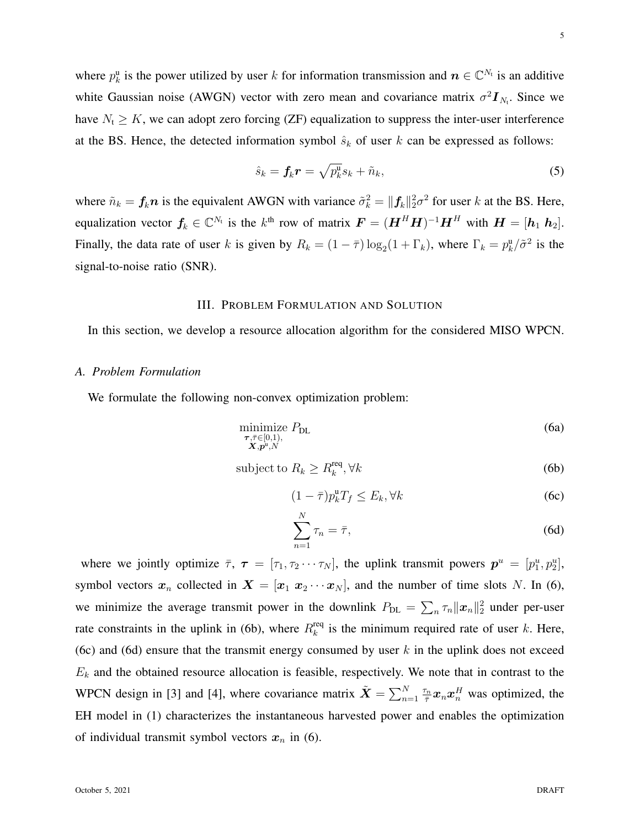where  $p_k^u$  is the power utilized by user k for information transmission and  $n \in \mathbb{C}^{N_t}$  is an additive white Gaussian noise (AWGN) vector with zero mean and covariance matrix  $\sigma^2 I_{N_t}$ . Since we have  $N_t \geq K$ , we can adopt zero forcing (ZF) equalization to suppress the inter-user interference at the BS. Hence, the detected information symbol  $\hat{s}_k$  of user k can be expressed as follows:

$$
\hat{s}_k = \mathbf{f}_k \mathbf{r} = \sqrt{p_k^{\mathrm{u}}} s_k + \tilde{n}_k,\tag{5}
$$

where  $\tilde{n}_k = f_k n$  is the equivalent AWGN with variance  $\tilde{\sigma}_k^2 = ||f_k||_2^2 \sigma^2$  for user k at the BS. Here, equalization vector  $f_k \in \mathbb{C}^{N_t}$  is the  $k^{\text{th}}$  row of matrix  $\boldsymbol{F} = (\boldsymbol{H}^H \boldsymbol{H})^{-1} \boldsymbol{H}^H$  with  $\boldsymbol{H} = [\boldsymbol{h}_1 \ \boldsymbol{h}_2]$ . Finally, the data rate of user k is given by  $R_k = (1 - \overline{\tau}) \log_2(1 + \Gamma_k)$ , where  $\Gamma_k = p_k^{\mu}/\tilde{\sigma}^2$  is the signal-to-noise ratio (SNR).

# III. PROBLEM FORMULATION AND SOLUTION

In this section, we develop a resource allocation algorithm for the considered MISO WPCN.

### *A. Problem Formulation*

We formulate the following non-convex optimization problem:

$$
\underset{\substack{\boldsymbol{\tau}, \bar{\boldsymbol{\tau}} \in [0,1), \\ \boldsymbol{X}, \boldsymbol{p}^{\mathrm{u}}, N}}{\text{minimize}} P_{\text{DL}} \tag{6a}
$$

$$
subject to R_k \ge R_k^{\text{req}}, \forall k \tag{6b}
$$

$$
(1 - \bar{\tau})p_k^{\mathrm{u}} T_f \le E_k, \forall k \tag{6c}
$$

$$
\sum_{n=1}^{N} \tau_n = \bar{\tau},\tag{6d}
$$

where we jointly optimize  $\bar{\tau}$ ,  $\tau = [\tau_1, \tau_2 \cdots \tau_N]$ , the uplink transmit powers  $p^u = [p_1^u, p_2^u]$ , symbol vectors  $x_n$  collected in  $X = [x_1 \ x_2 \ \cdots \ x_N]$ , and the number of time slots N. In (6), we minimize the average transmit power in the downlink  $P_{DL} = \sum_{n} \tau_n ||x_n||_2^2$  under per-user rate constraints in the uplink in (6b), where  $R_k^{\text{req}}$  $\frac{eq}{k}$  is the minimum required rate of user k. Here, (6c) and (6d) ensure that the transmit energy consumed by user  $k$  in the uplink does not exceed  $E<sub>k</sub>$  and the obtained resource allocation is feasible, respectively. We note that in contrast to the WPCN design in [3] and [4], where covariance matrix  $\tilde{\bm{X}} = \sum_{n=1}^{N} \frac{\tau_n}{\bar{\tau}}$  $\frac{\sigma_n}{\bar{\tau}} x_n x_n^H$  was optimized, the EH model in (1) characterizes the instantaneous harvested power and enables the optimization of individual transmit symbol vectors  $x_n$  in (6).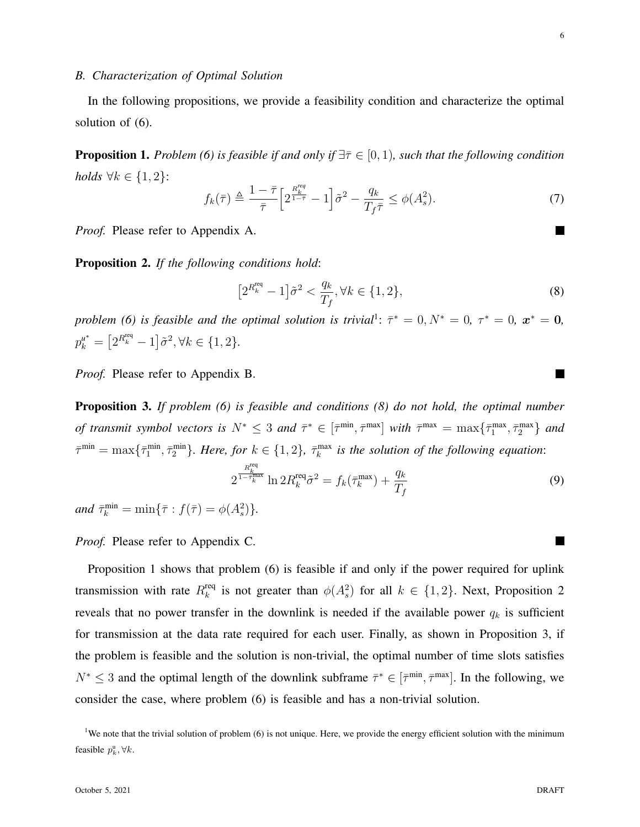6

 $\blacksquare$ 

## *B. Characterization of Optimal Solution*

In the following propositions, we provide a feasibility condition and characterize the optimal solution of (6).

**Proposition 1.** *Problem (6) is feasible if and only if*  $\exists \bar{\tau} \in [0, 1)$ *, such that the following condition holds*  $\forall k \in \{1, 2\}$ :

$$
f_k(\bar{\tau}) \triangleq \frac{1 - \bar{\tau}}{\bar{\tau}} \Big[ 2^{\frac{R_k^{req}}{1 - \bar{\tau}}} - 1 \Big] \tilde{\sigma}^2 - \frac{q_k}{T_f \bar{\tau}} \le \phi(A_s^2). \tag{7}
$$

*Proof.* Please refer to Appendix A.

Proposition 2. *If the following conditions hold*:

$$
\left[2^{R_k^{\text{req}}} - 1\right] \tilde{\sigma}^2 < \frac{q_k}{T_f}, \forall k \in \{1, 2\},\tag{8}
$$

*problem* (6) is feasible and the optimal solution is trivial<sup>1</sup>:  $\bar{\tau}^* = 0, N^* = 0, \tau^* = 0, \mathbf{x}^* = \mathbf{0}$ ,  $p_k^{u^*} = [2^{R_k^{req}} - 1] \tilde{\sigma}^2, \forall k \in \{1, 2\}.$ 

*Proof.* Please refer to Appendix B.

Proposition 3. *If problem (6) is feasible and conditions (8) do not hold, the optimal number of transmit symbol vectors is*  $N^* \leq 3$  *and*  $\bar{\tau}^* \in [\bar{\tau}^{\min}, \bar{\tau}^{\max}]$  *with*  $\bar{\tau}^{\max} = \max{\{\bar{\tau}_1^{\max}, \bar{\tau}_2^{\max}\}}$  *and*  $\bar{\tau}^{\min} = \max\{\bar{\tau}_1^{\min}, \bar{\tau}_2^{\min}\}\$ . Here, for  $k \in \{1, 2\}$ ,  $\bar{\tau}_k^{\max}$  is the solution of the following equation:

$$
2^{\frac{R_k^{\text{req}}}{1-\bar{\tau}_k^{\text{max}}}} \ln 2R_k^{\text{req}} \tilde{\sigma}^2 = f_k(\bar{\tau}_k^{\text{max}}) + \frac{q_k}{T_f}
$$
(9)

*and*  $\bar{\tau}_k^{\min} = \min{\{\bar{\tau} : f(\bar{\tau}) = \phi(A_s^2)\}}.$ 

*Proof.* Please refer to Appendix C.

Proposition 1 shows that problem (6) is feasible if and only if the power required for uplink transmission with rate  $R_k^{\text{req}}$ <sup>req</sup> is not greater than  $\phi(A_s^2)$  for all  $k \in \{1,2\}$ . Next, Proposition 2 reveals that no power transfer in the downlink is needed if the available power  $q_k$  is sufficient for transmission at the data rate required for each user. Finally, as shown in Proposition 3, if the problem is feasible and the solution is non-trivial, the optimal number of time slots satisfies  $N^* \leq 3$  and the optimal length of the downlink subframe  $\bar{\tau}^* \in [\bar{\tau}^{\min}, \bar{\tau}^{\max}]$ . In the following, we consider the case, where problem (6) is feasible and has a non-trivial solution.

<sup>&</sup>lt;sup>1</sup>We note that the trivial solution of problem (6) is not unique. Here, we provide the energy efficient solution with the minimum feasible  $p_k^{\mathrm{u}}, \forall k$ .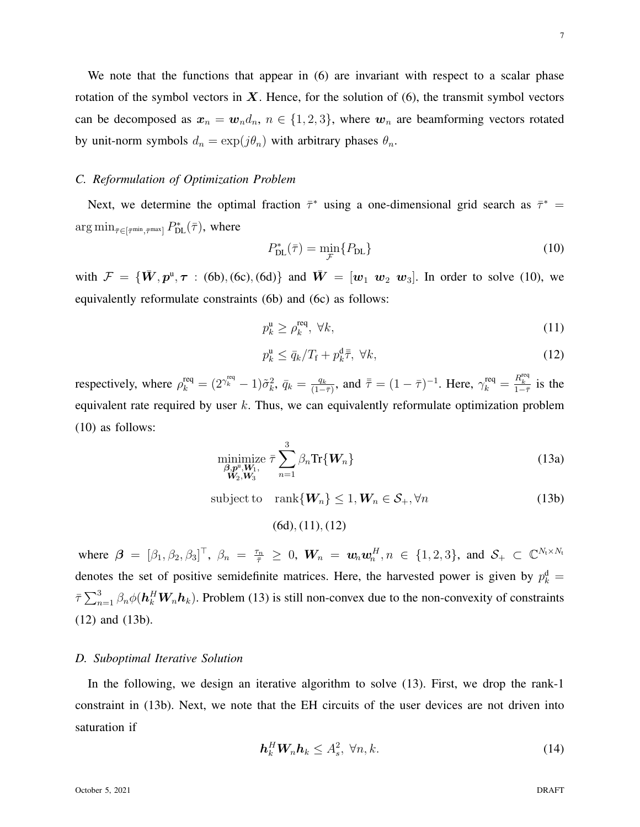We note that the functions that appear in (6) are invariant with respect to a scalar phase rotation of the symbol vectors in  $X$ . Hence, for the solution of  $(6)$ , the transmit symbol vectors can be decomposed as  $x_n = w_n d_n$ ,  $n \in \{1, 2, 3\}$ , where  $w_n$  are beamforming vectors rotated by unit-norm symbols  $d_n = \exp(j\theta_n)$  with arbitrary phases  $\theta_n$ .

## *C. Reformulation of Optimization Problem*

Next, we determine the optimal fraction  $\bar{\tau}^*$  using a one-dimensional grid search as  $\bar{\tau}^*$  =  $\arg \min_{\bar{\tau} \in [\bar{\tau}^{\min}, \bar{\tau}^{\max}]} P_{\text{DL}}^{*}(\bar{\tau}), \text{ where}$ 

$$
P_{\rm DL}^*(\bar{\tau}) = \min_{\mathcal{F}} \{ P_{\rm DL} \} \tag{10}
$$

with  $\mathcal{F} = {\{\bar{W}, p^u, \tau : (6b), (6c), (6d)\}\}$  and  $\bar{W} = [w_1 \ w_2 \ w_3]$ . In order to solve (10), we equivalently reformulate constraints (6b) and (6c) as follows:

$$
p_k^{\mathbf{u}} \ge p_k^{\text{req}}, \ \forall k,\tag{11}
$$

$$
p_k^{\mathrm{u}} \le \bar{q}_k / T_{\mathrm{f}} + p_k^{\mathrm{d}} \bar{\bar{\tau}}, \ \forall k,\tag{12}
$$

respectively, where  $\rho_k^{\text{req}} = (2^{\gamma_k^{\text{req}}} - 1)\tilde{\sigma}_k^2$ ,  $\bar{q}_k = \frac{q_k}{(1 - 1)^k}$  $\frac{q_k}{(1-\bar{\tau})}$ , and  $\bar{\bar{\tau}} = (1-\bar{\tau})^{-1}$ . Here,  $\gamma_k^{\text{req}} = \frac{R_k^{\text{req}}}{1-\bar{\tau}}$  is the equivalent rate required by user  $k$ . Thus, we can equivalently reformulate optimization problem (10) as follows:

$$
\underset{\substack{\beta,p^0,W_1,\\W_2,W_3}}{\text{minimize}} \ \bar{\tau} \sum_{n=1}^3 \beta_n \text{Tr}\{\mathbf{W}_n\} \tag{13a}
$$

subject to rank $\{W_n\} \leq 1, W_n \in S_+, \forall n$  (13b)

(6d), (11), (12)

where  $\beta = [\beta_1, \beta_2, \beta_3]^\top$ ,  $\beta_n = \frac{\tau_n}{\bar{\tau}} \geq 0$ ,  $W_n = w_n w_n^H$ ,  $n \in \{1, 2, 3\}$ , and  $S_+ \subset \mathbb{C}^{N_t \times N_t}$ denotes the set of positive semidefinite matrices. Here, the harvested power is given by  $p_k^d =$  $\bar{\tau}\sum_{n=1}^3 \beta_n \phi(h_k^H W_n h_k)$ . Problem (13) is still non-convex due to the non-convexity of constraints (12) and (13b).

#### *D. Suboptimal Iterative Solution*

In the following, we design an iterative algorithm to solve (13). First, we drop the rank-1 constraint in (13b). Next, we note that the EH circuits of the user devices are not driven into saturation if

$$
\boldsymbol{h}_k^H \boldsymbol{W}_n \boldsymbol{h}_k \le A_s^2, \ \forall n, k. \tag{14}
$$

7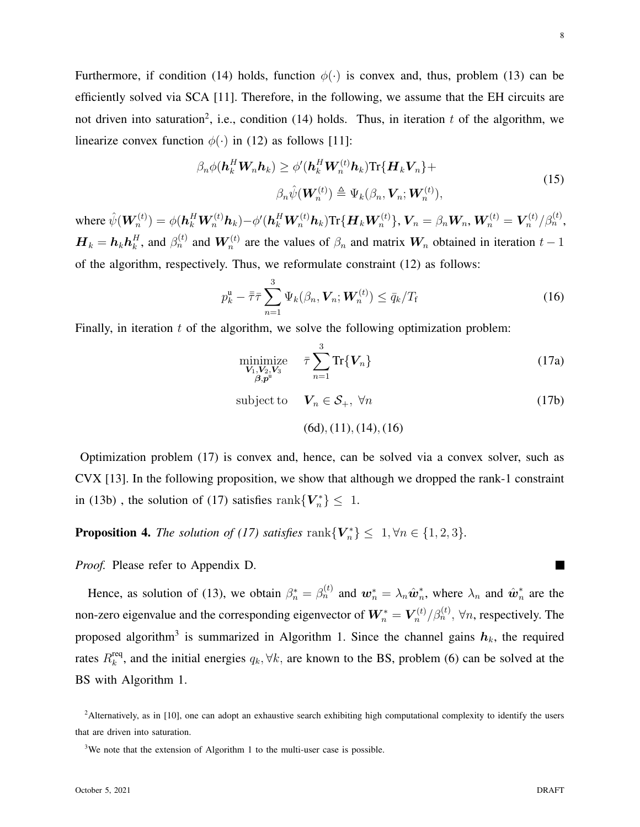Furthermore, if condition (14) holds, function  $\phi(\cdot)$  is convex and, thus, problem (13) can be efficiently solved via SCA [11]. Therefore, in the following, we assume that the EH circuits are not driven into saturation<sup>2</sup>, i.e., condition (14) holds. Thus, in iteration t of the algorithm, we linearize convex function  $\phi(\cdot)$  in (12) as follows [11]:

$$
\beta_n \phi(\mathbf{h}_k^H \mathbf{W}_n \mathbf{h}_k) \ge \phi'(\mathbf{h}_k^H \mathbf{W}_n^{(t)} \mathbf{h}_k) \text{Tr}\{\mathbf{H}_k \mathbf{V}_n\} +
$$
\n
$$
\beta_n \hat{\psi}(\mathbf{W}_n^{(t)}) \triangleq \Psi_k(\beta_n, \mathbf{V}_n; \mathbf{W}_n^{(t)}),
$$
\n(15)

where  $\hat{\psi}(\boldsymbol{W}_n^{(t)})=\phi(\boldsymbol{h}_k^H\boldsymbol{W}_n^{(t)}\boldsymbol{h}_k)-\phi'(\boldsymbol{h}_k^H\boldsymbol{W}_n^{(t)}\boldsymbol{h}_k)\text{Tr}\{\boldsymbol{H}_k\boldsymbol{W}_n^{(t)}\},\boldsymbol{V}_n=\beta_n\boldsymbol{W}_n,\boldsymbol{W}_n^{(t)}=\boldsymbol{V}_n^{(t)}$  $\int_n^{(t)}/\beta_n^{(t)},$  $\boldsymbol{H}_k = \boldsymbol{h}_k \boldsymbol{h}_k^H$  $k<sub>k</sub><sup>H</sup>$ , and  $\beta<sub>n</sub><sup>(t)</sup>$  and  $W<sub>n</sub><sup>(t)</sup>$  are the values of  $\beta<sub>n</sub>$  and matrix  $W<sub>n</sub>$  obtained in iteration  $t-1$ of the algorithm, respectively. Thus, we reformulate constraint (12) as follows:

$$
p_k^{\mathrm{u}} - \bar{\bar{\tau}} \bar{\tau} \sum_{n=1}^3 \Psi_k(\beta_n, \mathbf{V}_n; \mathbf{W}_n^{(t)}) \le \bar{q}_k / T_{\mathrm{f}}
$$
(16)

Finally, in iteration  $t$  of the algorithm, we solve the following optimization problem:

$$
\underset{\substack{\mathbf{V}_1,\mathbf{V}_2,\mathbf{V}_3\\\beta,p^u}}{\text{minimize}} \quad \bar{\tau} \sum_{n=1}^3 \text{Tr}\{\mathbf{V}_n\} \tag{17a}
$$

subject to  $V_n \in S_+$ ,  $\forall n$  (17b)

(6d), (11), (14), (16)

Optimization problem (17) is convex and, hence, can be solved via a convex solver, such as CVX [13]. In the following proposition, we show that although we dropped the rank-1 constraint in (13b), the solution of (17) satisfies rank ${V_n^*}\leq 1$ .

**Proposition 4.** *The solution of (17) satisfies* rank ${V_n^*} \leq 1, \forall n \in \{1, 2, 3\}.$ 

*Proof.* Please refer to Appendix D.

Hence, as solution of (13), we obtain  $\beta_n^* = \beta_n^{(t)}$  and  $w_n^* = \lambda_n \hat{w}_n^*$ <sup>\*</sup><sub>n</sub>, where  $\lambda_n$  and  $\hat{\boldsymbol{w}}_n^*$  $\frac{1}{n}$  are the non-zero eigenvalue and the corresponding eigenvector of  $W_n^* = V_n^{(t)}$  $r_n^{(t)}/\beta_n^{(t)}$ ,  $\forall n$ , respectively. The proposed algorithm<sup>3</sup> is summarized in Algorithm 1. Since the channel gains  $h_k$ , the required rates  $R_k^{\text{req}}$ <sup>req</sup>, and the initial energies  $q_k, \forall k$ , are known to the BS, problem (6) can be solved at the BS with Algorithm 1.

 $2$ Alternatively, as in [10], one can adopt an exhaustive search exhibiting high computational complexity to identify the users that are driven into saturation.

<sup>&</sup>lt;sup>3</sup>We note that the extension of Algorithm 1 to the multi-user case is possible.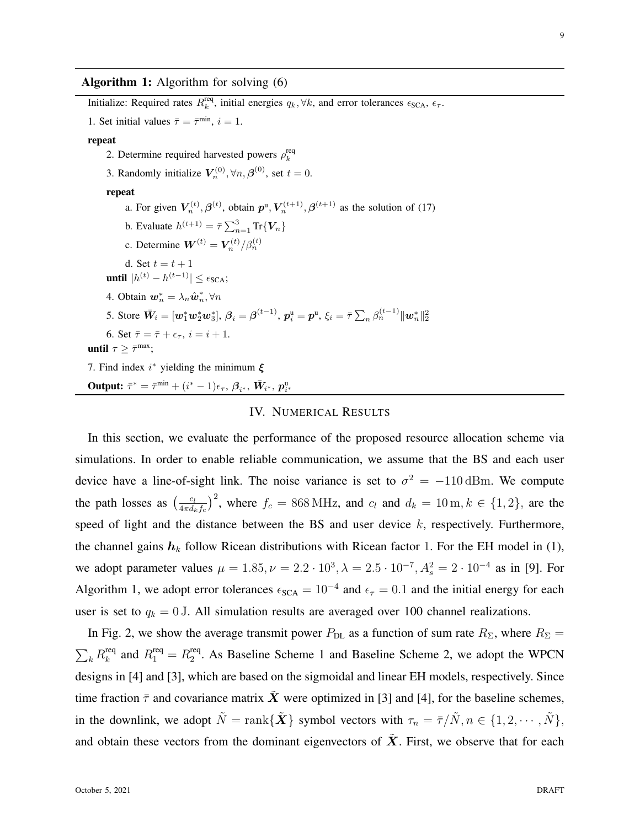Algorithm 1: Algorithm for solving (6) Initialize: Required rates  $R_k^{\text{req}}$ <sup>req</sup>, initial energies  $q_k, \forall k$ , and error tolerances  $\epsilon_{SCA}, \epsilon_{\tau}$ . 1. Set initial values  $\bar{\tau} = \bar{\tau}^{\min}$ ,  $i = 1$ . repeat 2. Determine required harvested powers  $\rho_k^{\text{req}}$ k 3. Randomly initialize  $V_n^{(0)}$ ,  $\forall n, \beta^{(0)}$ , set  $t = 0$ . repeat a. For given  $V_n^{(t)}$ ,  $\beta^{(t)}$ , obtain  $p^{\text{u}}$ ,  $V_n^{(t+1)}$ ,  $\beta^{(t+1)}$  as the solution of (17) b. Evaluate  $h^{(t+1)} = \bar{\tau} \sum_{n=1}^{3} \text{Tr} \{ V_n \}$ c. Determine  $\boldsymbol{W}^{(t)} = \boldsymbol{V}_n^{(t)}/\beta_n^{(t)}$ d. Set  $t = t + 1$ **until**  $|h^{(t)} - h^{(t-1)}| \leq \epsilon_{SCA}$ ; 4. Obtain  $\mathbf{w}_n^* = \lambda_n \hat{\mathbf{w}}_n^*, \forall n$ 5. Store  $\bar{\bm{W}}_i = [\bm{w}_1^*\bm{w}_2^*\bm{w}_3^*], \, \bm{\beta}_i = \bm{\beta}^{(t-1)}, \, \bm{p}_i^{\text{u}} = \bm{p}^{\text{u}}, \, \xi_i = \bar{\tau} \sum_n \beta_n^{(t-1)} \|\bm{w}_n^*\|_2^2$ 6. Set  $\bar{\tau} = \bar{\tau} + \epsilon_{\tau}$ ,  $i = i + 1$ . until  $\tau \geq \bar{\tau}^{\max}$ ; 7. Find index  $i^*$  yielding the minimum  $\xi$ Output:  $\bar{\tau}^* = \bar{\tau}^{\min} + (i^* - 1)\epsilon_{\tau}, \, \beta_{i^*}, \, \bar{W}_{i^*}, \, p_{i^*}^{\mathrm{u}}$ IV. NUMERICAL RESULTS

In this section, we evaluate the performance of the proposed resource allocation scheme via simulations. In order to enable reliable communication, we assume that the BS and each user device have a line-of-sight link. The noise variance is set to  $\sigma^2 = -110 \,\text{dBm}$ . We compute the path losses as  $\left(\frac{c_l}{4\pi d}\right)$  $\frac{c_l}{4\pi d_k f_c}$ )<sup>2</sup>, where  $f_c = 868 \text{ MHz}$ , and  $c_l$  and  $d_k = 10 \text{ m}, k \in \{1, 2\}$ , are the speed of light and the distance between the BS and user device  $k$ , respectively. Furthermore, the channel gains  $h_k$  follow Ricean distributions with Ricean factor 1. For the EH model in (1), we adopt parameter values  $\mu = 1.85, \nu = 2.2 \cdot 10^3, \lambda = 2.5 \cdot 10^{-7}, A_s^2 = 2 \cdot 10^{-4}$  as in [9]. For Algorithm 1, we adopt error tolerances  $\epsilon_{SCA} = 10^{-4}$  and  $\epsilon_{\tau} = 0.1$  and the initial energy for each user is set to  $q_k = 0$  J. All simulation results are averaged over 100 channel realizations.

In Fig. 2, we show the average transmit power  $P_{\text{DL}}$  as a function of sum rate  $R_{\Sigma}$ , where  $R_{\Sigma}$  =  $\sum_k R_k^{\rm req}$  $k^{\text{req}}$  and  $R_1^{\text{req}} = R_2^{\text{req}}$  $2<sub>2</sub>$ . As Baseline Scheme 1 and Baseline Scheme 2, we adopt the WPCN designs in [4] and [3], which are based on the sigmoidal and linear EH models, respectively. Since time fraction  $\bar{\tau}$  and covariance matrix X were optimized in [3] and [4], for the baseline schemes, in the downlink, we adopt  $\tilde{N} = \text{rank}\{\tilde{\boldsymbol{X}}\}$  symbol vectors with  $\tau_n = \bar{\tau}/\tilde{N}, n \in \{1, 2, \cdots, \tilde{N}\},$ and obtain these vectors from the dominant eigenvectors of  $X$ . First, we observe that for each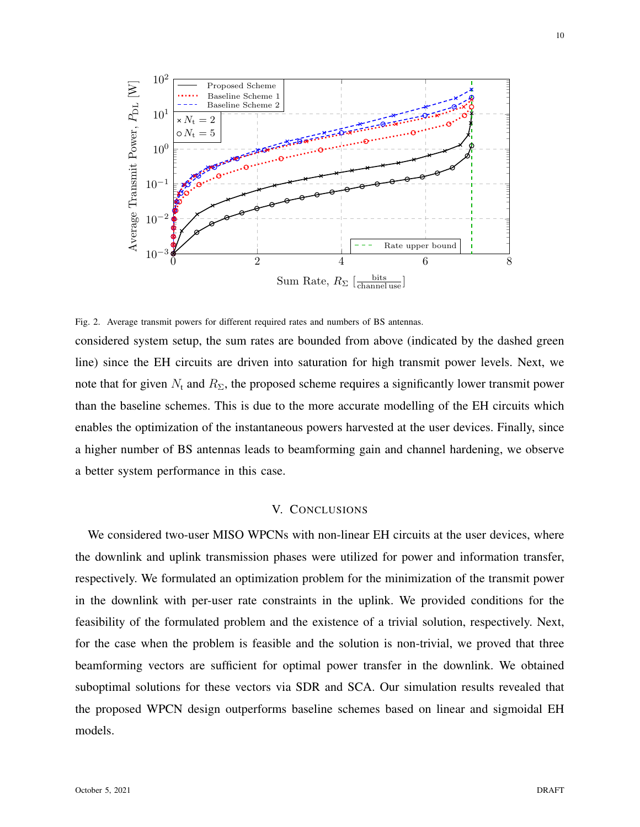

Fig. 2. Average transmit powers for different required rates and numbers of BS antennas.

considered system setup, the sum rates are bounded from above (indicated by the dashed green line) since the EH circuits are driven into saturation for high transmit power levels. Next, we note that for given  $N_t$  and  $R_{\Sigma}$ , the proposed scheme requires a significantly lower transmit power than the baseline schemes. This is due to the more accurate modelling of the EH circuits which enables the optimization of the instantaneous powers harvested at the user devices. Finally, since a higher number of BS antennas leads to beamforming gain and channel hardening, we observe a better system performance in this case.

## V. CONCLUSIONS

We considered two-user MISO WPCNs with non-linear EH circuits at the user devices, where the downlink and uplink transmission phases were utilized for power and information transfer, respectively. We formulated an optimization problem for the minimization of the transmit power in the downlink with per-user rate constraints in the uplink. We provided conditions for the feasibility of the formulated problem and the existence of a trivial solution, respectively. Next, for the case when the problem is feasible and the solution is non-trivial, we proved that three beamforming vectors are sufficient for optimal power transfer in the downlink. We obtained suboptimal solutions for these vectors via SDR and SCA. Our simulation results revealed that the proposed WPCN design outperforms baseline schemes based on linear and sigmoidal EH models.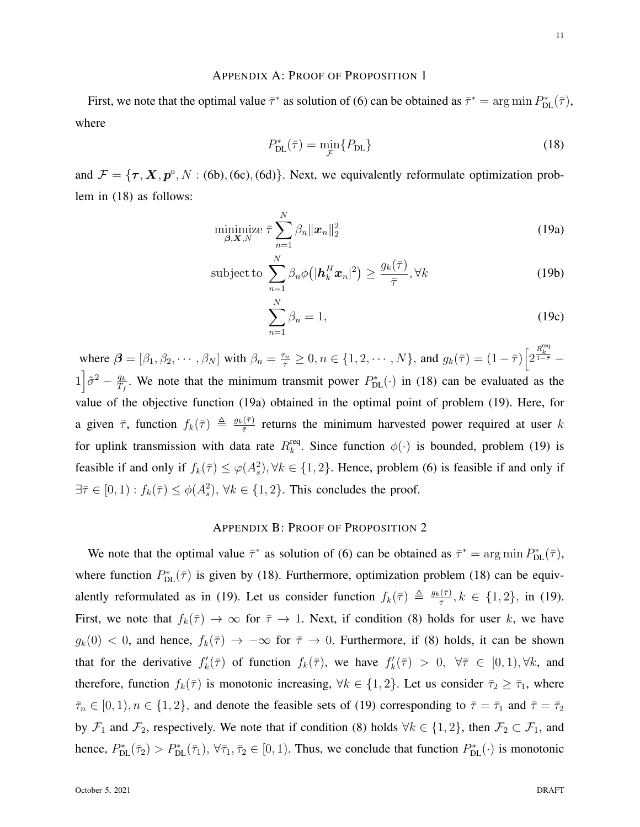# APPENDIX A: PROOF OF PROPOSITION 1

First, we note that the optimal value  $\bar{\tau}^*$  as solution of (6) can be obtained as  $\bar{\tau}^* = \arg \min P_{\text{DL}}^*(\bar{\tau})$ , where

$$
P_{\rm DL}^*(\bar{\tau}) = \min_{\mathcal{F}} \{ P_{\rm DL} \} \tag{18}
$$

and  $\mathcal{F} = {\tau, \mathbf{X}, p^u, N : (6b), (6c), (6d)}$ . Next, we equivalently reformulate optimization problem in (18) as follows:

$$
\underset{\beta, \mathbf{X}, N}{\text{minimize}} \ \bar{\tau} \sum_{n=1}^{N} \beta_n ||\mathbf{x}_n||_2^2 \tag{19a}
$$

subject to 
$$
\sum_{n=1}^{N} \beta_n \phi(|\boldsymbol{h}_k^H \boldsymbol{x}_n|^2) \ge \frac{g_k(\bar{\tau})}{\bar{\tau}}, \forall k
$$
 (19b)

$$
\sum_{n=1}^{N} \beta_n = 1,\tag{19c}
$$

where  $\beta = [\beta_1, \beta_2, \cdots, \beta_N]$  with  $\beta_n = \frac{\tau_n}{\bar{\tau}} \ge 0, n \in \{1, 2, \cdots, N\}$ , and  $g_k(\bar{\tau}) = (1 - \bar{\tau}) \left[ 2^{\frac{R_k^{\text{req}}}{1 - \bar{\tau}}} - \right]$  $1\overline{\partial}^2 - \frac{q_k}{T_s}$  $\frac{q_k}{T_f}$ . We note that the minimum transmit power  $P_{\text{DL}}^*(\cdot)$  in (18) can be evaluated as the value of the objective function (19a) obtained in the optimal point of problem (19). Here, for a given  $\bar{\tau}$ , function  $f_k(\bar{\tau}) \triangleq \frac{g_k(\bar{\tau})}{\bar{\tau}}$  $\frac{f(\tau)}{\tau}$  returns the minimum harvested power required at user k for uplink transmission with data rate  $R_k^{\text{req}}$ <sup>req</sup>. Since function  $\phi(\cdot)$  is bounded, problem (19) is feasible if and only if  $f_k(\overline{\tau}) \le \varphi(A_s^2), \forall k \in \{1,2\}$ . Hence, problem (6) is feasible if and only if  $\exists \overline{\tau} \in [0,1) : f_k(\overline{\tau}) \leq \phi(A_s^2), \forall k \in \{1,2\}.$  This concludes the proof.

# APPENDIX B: PROOF OF PROPOSITION 2

We note that the optimal value  $\bar{\tau}^*$  as solution of (6) can be obtained as  $\bar{\tau}^* = \arg \min P_{\text{DL}}^*(\bar{\tau})$ , where function  $P_{DL}^*(\bar{\tau})$  is given by (18). Furthermore, optimization problem (18) can be equivalently reformulated as in (19). Let us consider function  $f_k(\bar{\tau}) \triangleq \frac{g_k(\bar{\tau})}{\bar{\tau}}$  $\frac{f_1(\tau)}{\bar{\tau}}, k \in \{1, 2\}, \text{ in (19).}$ First, we note that  $f_k(\overline{\tau}) \to \infty$  for  $\overline{\tau} \to 1$ . Next, if condition (8) holds for user k, we have  $g_k(0) < 0$ , and hence,  $f_k(\overline{\tau}) \to -\infty$  for  $\overline{\tau} \to 0$ . Furthermore, if (8) holds, it can be shown that for the derivative  $f'_k(\overline{\tau})$  of function  $f_k(\overline{\tau})$ , we have  $f'_k(\overline{\tau}) > 0$ ,  $\forall \overline{\tau} \in [0,1)$ ,  $\forall k$ , and therefore, function  $f_k(\overline{\tau})$  is monotonic increasing,  $\forall k \in \{1, 2\}$ . Let us consider  $\overline{\tau}_2 \geq \overline{\tau}_1$ , where  $\bar{\tau}_n \in [0, 1), n \in \{1, 2\}$ , and denote the feasible sets of (19) corresponding to  $\bar{\tau} = \bar{\tau}_1$  and  $\bar{\tau} = \bar{\tau}_2$ by  $\mathcal{F}_1$  and  $\mathcal{F}_2$ , respectively. We note that if condition (8) holds  $\forall k \in \{1, 2\}$ , then  $\mathcal{F}_2 \subset \mathcal{F}_1$ , and hence,  $P_{\text{DL}}^{*}(\bar{\tau}_2) > P_{\text{DL}}^{*}(\bar{\tau}_1), \forall \bar{\tau}_1, \bar{\tau}_2 \in [0, 1)$ . Thus, we conclude that function  $P_{\text{DL}}^{*}(\cdot)$  is monotonic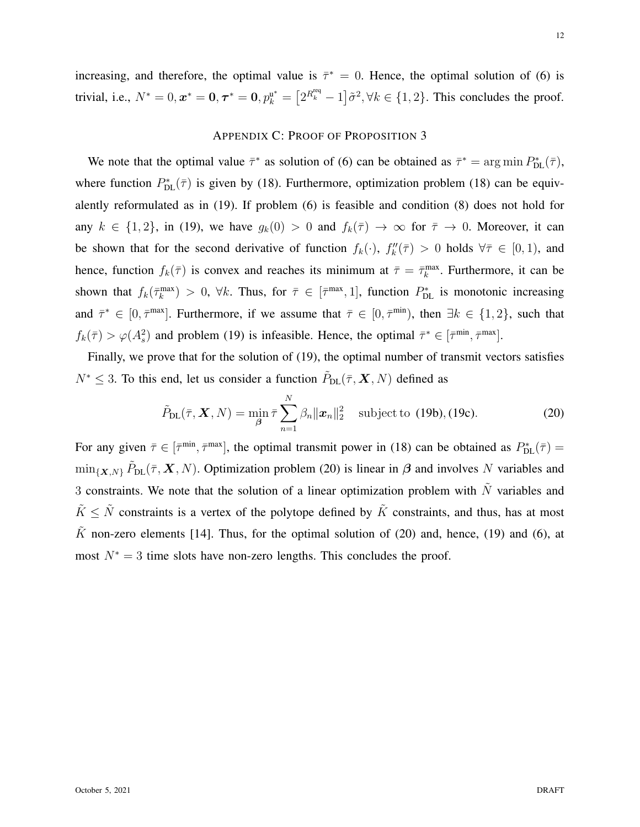increasing, and therefore, the optimal value is  $\bar{\tau}^* = 0$ . Hence, the optimal solution of (6) is trivial, i.e.,  $N^* = 0$ ,  $\tau^* = 0$ ,  $\tau^* = 0$ ,  $p_k^{u^*} = \left[2^{R_k^{req}} - 1\right]\tilde{\sigma}^2$ ,  $\forall k \in \{1, 2\}$ . This concludes the proof.

# APPENDIX C: PROOF OF PROPOSITION 3

We note that the optimal value  $\bar{\tau}^*$  as solution of (6) can be obtained as  $\bar{\tau}^* = \arg \min P_{\text{DL}}^*(\bar{\tau})$ , where function  $P_{DL}^*(\bar{\tau})$  is given by (18). Furthermore, optimization problem (18) can be equivalently reformulated as in (19). If problem (6) is feasible and condition (8) does not hold for any  $k \in \{1, 2\}$ , in (19), we have  $g_k(0) > 0$  and  $f_k(\overline{\tau}) \to \infty$  for  $\overline{\tau} \to 0$ . Moreover, it can be shown that for the second derivative of function  $f_k(\cdot)$ ,  $f''_k(\overline{\tau}) > 0$  holds  $\forall \overline{\tau} \in [0,1)$ , and hence, function  $f_k(\bar{\tau})$  is convex and reaches its minimum at  $\bar{\tau} = \bar{\tau}_k^{\max}$ . Furthermore, it can be shown that  $f_k(\bar{\tau}_k^{\max}) > 0$ ,  $\forall k$ . Thus, for  $\bar{\tau} \in [\bar{\tau}^{\max}, 1]$ , function  $P_{\text{DL}}^*$  is monotonic increasing and  $\bar{\tau}^* \in [0, \bar{\tau}^{\text{max}}]$ . Furthermore, if we assume that  $\bar{\tau} \in [0, \bar{\tau}^{\text{min}})$ , then  $\exists k \in \{1, 2\}$ , such that  $f_k(\bar{\tau}) > \varphi(A_s^2)$  and problem (19) is infeasible. Hence, the optimal  $\bar{\tau}^* \in [\bar{\tau}^{\min}, \bar{\tau}^{\max}]$ .

Finally, we prove that for the solution of (19), the optimal number of transmit vectors satisfies  $N^* \leq 3$ . To this end, let us consider a function  $\tilde{P}_{\text{DL}}(\bar{\tau}, \mathbf{X}, N)$  defined as

$$
\tilde{P}_{\text{DL}}(\bar{\tau}, \mathbf{X}, N) = \min_{\beta} \bar{\tau} \sum_{n=1}^{N} \beta_n ||\mathbf{x}_n||_2^2 \quad \text{subject to (19b), (19c).} \tag{20}
$$

For any given  $\bar{\tau} \in [\bar{\tau}^{\min}, \bar{\tau}^{\max}]$ , the optimal transmit power in (18) can be obtained as  $P_{\text{DL}}^*(\bar{\tau}) =$  $\min_{\{X,N\}} \tilde{P}_{DL}(\bar{\tau}, X, N)$ . Optimization problem (20) is linear in  $\beta$  and involves N variables and 3 constraints. We note that the solution of a linear optimization problem with  $\tilde{N}$  variables and  $\tilde{K} \leq \tilde{N}$  constraints is a vertex of the polytope defined by  $\tilde{K}$  constraints, and thus, has at most  $\tilde{K}$  non-zero elements [14]. Thus, for the optimal solution of (20) and, hence, (19) and (6), at most  $N^* = 3$  time slots have non-zero lengths. This concludes the proof.

12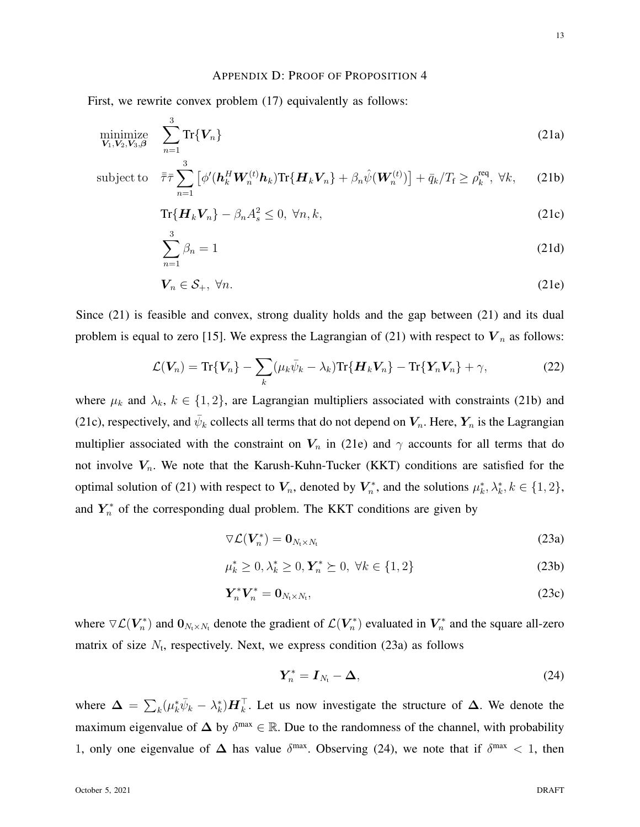## APPENDIX D: PROOF OF PROPOSITION 4

First, we rewrite convex problem  $(17)$  equivalently as follows:

$$
\underset{\mathbf{V}_1,\mathbf{V}_2,\mathbf{V}_3,\boldsymbol{\beta}}{\text{minimize}} \quad \sum_{n=1}^3 \text{Tr}\{\mathbf{V}_n\} \tag{21a}
$$

sub

$$
\text{eject to} \quad \bar{\bar{\tau}} \bar{\tau} \sum_{n=1}^{3} \left[ \phi'(\boldsymbol{h}_{k}^{H} \boldsymbol{W}_{n}^{(t)} \boldsymbol{h}_{k}) \text{Tr} \{ \boldsymbol{H}_{k} \boldsymbol{V}_{n} \} + \beta_{n} \hat{\psi}(\boldsymbol{W}_{n}^{(t)}) \right] + \bar{q}_{k} / T_{\mathrm{f}} \geq \rho_{k}^{\mathrm{req}}, \ \forall k, \qquad (21b)
$$

$$
\operatorname{Tr}\{\boldsymbol{H}_k \boldsymbol{V}_n\} - \beta_n A_s^2 \le 0, \ \forall n, k,
$$
\n(21c)

$$
\sum_{n=1}^{3} \beta_n = 1 \tag{21d}
$$

$$
\mathbf{V}_n \in \mathcal{S}_+, \ \forall n. \tag{21e}
$$

Since (21) is feasible and convex, strong duality holds and the gap between (21) and its dual problem is equal to zero [15]. We express the Lagrangian of (21) with respect to  $V_n$  as follows:

$$
\mathcal{L}(\boldsymbol{V}_n) = \text{Tr}\{\boldsymbol{V}_n\} - \sum_k (\mu_k \bar{\psi}_k - \lambda_k) \text{Tr}\{\boldsymbol{H}_k \boldsymbol{V}_n\} - \text{Tr}\{\boldsymbol{Y}_n \boldsymbol{V}_n\} + \gamma,
$$
\n(22)

where  $\mu_k$  and  $\lambda_k$ ,  $k \in \{1, 2\}$ , are Lagrangian multipliers associated with constraints (21b) and (21c), respectively, and  $\bar{\psi}_k$  collects all terms that do not depend on  $V_n$ . Here,  $Y_n$  is the Lagrangian multiplier associated with the constraint on  $V_n$  in (21e) and  $\gamma$  accounts for all terms that do not involve  $V_n$ . We note that the Karush-Kuhn-Tucker (KKT) conditions are satisfied for the optimal solution of (21) with respect to  $V_n$ , denoted by  $V_n^*$  $n^*$ , and the solutions  $\mu_k^*, \lambda_k^*, k \in \{1, 2\},$ and  $Y_n^*$  of the corresponding dual problem. The KKT conditions are given by

$$
\nabla \mathcal{L}(\boldsymbol{V}_n^*) = \mathbf{0}_{N_{\text{t}} \times N_{\text{t}}} \tag{23a}
$$

$$
\mu_k^* \ge 0, \lambda_k^* \ge 0, \mathbf{Y}_n^* \ge 0, \ \forall k \in \{1, 2\} \tag{23b}
$$

$$
\boldsymbol{Y}_n^* \boldsymbol{V}_n^* = \boldsymbol{0}_{N_t \times N_t},\tag{23c}
$$

where  $\nabla \mathcal{L}(\mathbf{V}_n^*)$  $(n_n^*)$  and  $0_{N_t \times N_t}$  denote the gradient of  $\mathcal{L}(\boldsymbol{V}_n^*)$  $(r_n^*)$  evaluated in  $V_n^*$  $n^*$  and the square all-zero matrix of size  $N_t$ , respectively. Next, we express condition (23a) as follows

$$
Y_n^* = I_{N_t} - \Delta,\tag{24}
$$

where  $\Delta = \sum_k (\mu_k^* \bar{\psi}_k - \lambda_k^*) \mathbf{H}_k^{\top}$ . Let us now investigate the structure of  $\Delta$ . We denote the maximum eigenvalue of  $\Delta$  by  $\delta^{\text{max}} \in \mathbb{R}$ . Due to the randomness of the channel, with probability 1, only one eigenvalue of  $\Delta$  has value  $\delta^{\text{max}}$ . Observing (24), we note that if  $\delta^{\text{max}} < 1$ , then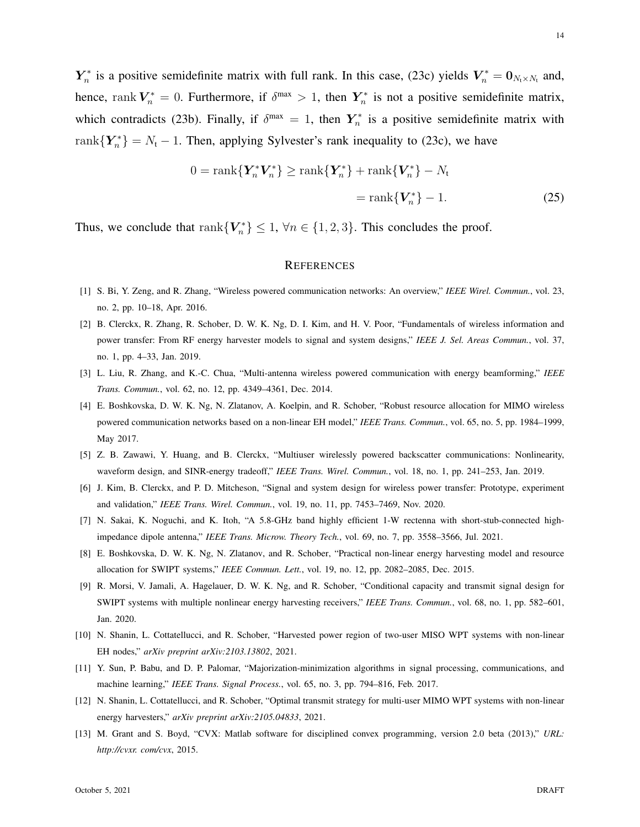$\boldsymbol{Y}_n^*$ <sup>r\*</sup> is a positive semidefinite matrix with full rank. In this case, (23c) yields  $V_n^* = 0_{N_1 \times N_1}$  and, hence, rank  $V_n^* = 0$ . Furthermore, if  $\delta^{\max} > 1$ , then  $Y_n^*$  $\tau_n^*$  is not a positive semidefinite matrix, which contradicts (23b). Finally, if  $\delta^{\max} = 1$ , then  $Y_n^*$  $\tilde{n}$  is a positive semidefinite matrix with rank ${Y_n^*} = N_t - 1$ . Then, applying Sylvester's rank inequality to (23c), we have

$$
0 = \operatorname{rank}\{\mathbf{Y}_n^*\mathbf{V}_n^*\} \ge \operatorname{rank}\{\mathbf{Y}_n^*\} + \operatorname{rank}\{\mathbf{V}_n^*\} - N_t
$$

$$
= \operatorname{rank}\{\mathbf{V}_n^*\} - 1.
$$
 (25)

Thus, we conclude that rank  ${V_n^*}\leq 1$ ,  $\forall n \in \{1, 2, 3\}$ . This concludes the proof.

## **REFERENCES**

- [1] S. Bi, Y. Zeng, and R. Zhang, "Wireless powered communication networks: An overview," *IEEE Wirel. Commun.*, vol. 23, no. 2, pp. 10–18, Apr. 2016.
- [2] B. Clerckx, R. Zhang, R. Schober, D. W. K. Ng, D. I. Kim, and H. V. Poor, "Fundamentals of wireless information and power transfer: From RF energy harvester models to signal and system designs," *IEEE J. Sel. Areas Commun.*, vol. 37, no. 1, pp. 4–33, Jan. 2019.
- [3] L. Liu, R. Zhang, and K.-C. Chua, "Multi-antenna wireless powered communication with energy beamforming," *IEEE Trans. Commun.*, vol. 62, no. 12, pp. 4349–4361, Dec. 2014.
- [4] E. Boshkovska, D. W. K. Ng, N. Zlatanov, A. Koelpin, and R. Schober, "Robust resource allocation for MIMO wireless powered communication networks based on a non-linear EH model," *IEEE Trans. Commun.*, vol. 65, no. 5, pp. 1984–1999, May 2017.
- [5] Z. B. Zawawi, Y. Huang, and B. Clerckx, "Multiuser wirelessly powered backscatter communications: Nonlinearity, waveform design, and SINR-energy tradeoff," *IEEE Trans. Wirel. Commun.*, vol. 18, no. 1, pp. 241–253, Jan. 2019.
- [6] J. Kim, B. Clerckx, and P. D. Mitcheson, "Signal and system design for wireless power transfer: Prototype, experiment and validation," *IEEE Trans. Wirel. Commun.*, vol. 19, no. 11, pp. 7453–7469, Nov. 2020.
- [7] N. Sakai, K. Noguchi, and K. Itoh, "A 5.8-GHz band highly efficient 1-W rectenna with short-stub-connected highimpedance dipole antenna," *IEEE Trans. Microw. Theory Tech.*, vol. 69, no. 7, pp. 3558–3566, Jul. 2021.
- [8] E. Boshkovska, D. W. K. Ng, N. Zlatanov, and R. Schober, "Practical non-linear energy harvesting model and resource allocation for SWIPT systems," *IEEE Commun. Lett.*, vol. 19, no. 12, pp. 2082–2085, Dec. 2015.
- [9] R. Morsi, V. Jamali, A. Hagelauer, D. W. K. Ng, and R. Schober, "Conditional capacity and transmit signal design for SWIPT systems with multiple nonlinear energy harvesting receivers," *IEEE Trans. Commun.*, vol. 68, no. 1, pp. 582–601, Jan. 2020.
- [10] N. Shanin, L. Cottatellucci, and R. Schober, "Harvested power region of two-user MISO WPT systems with non-linear EH nodes," *arXiv preprint arXiv:2103.13802*, 2021.
- [11] Y. Sun, P. Babu, and D. P. Palomar, "Majorization-minimization algorithms in signal processing, communications, and machine learning," *IEEE Trans. Signal Process.*, vol. 65, no. 3, pp. 794–816, Feb. 2017.
- [12] N. Shanin, L. Cottatellucci, and R. Schober, "Optimal transmit strategy for multi-user MIMO WPT systems with non-linear energy harvesters," *arXiv preprint arXiv:2105.04833*, 2021.
- [13] M. Grant and S. Boyd, "CVX: Matlab software for disciplined convex programming, version 2.0 beta (2013)," *URL: http://cvxr. com/cvx*, 2015.